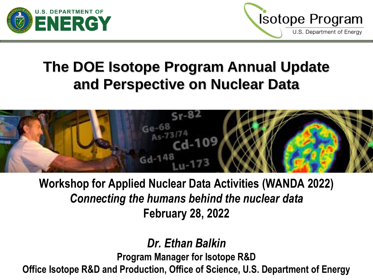



# **The DOE Isotope Program Annual Update and Perspective on Nuclear Data**



**Workshop for Applied Nuclear Data Activities (WANDA 2022)** *Connecting the humans behind the nuclear data* **February 28, 2022**

### *Dr. Ethan Balkin*

**Program Manager for Isotope R&D**

**Office Isotope R&D and Production, Office of Science, U.S. Department of Energy**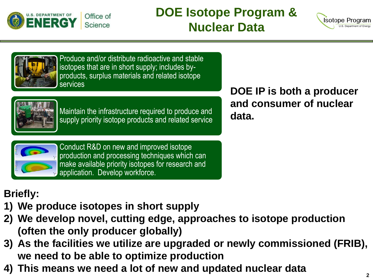

## **DOE Isotope Program & Nuclear Data**





Produce and/or distribute radioactive and stable isotopes that are in short supply; includes byproducts, surplus materials and related isotope services

**DOE IP is both a producer and consumer of nuclear data.**



Maintain the infrastructure required to produce and supply priority isotope products and related service



Conduct R&D on new and improved isotope production and processing techniques which can make available priority isotopes for research and **Application.** Develop workforce.

**Briefly:**

- **1) We produce isotopes in short supply**
- **2) We develop novel, cutting edge, approaches to isotope production (often the only producer globally)**
- **3) As the facilities we utilize are upgraded or newly commissioned (FRIB), we need to be able to optimize production**
- **4) This means we need a lot of new and updated nuclear data**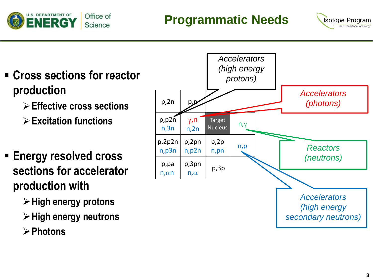

## **Programmatic Needs**



- **Cross sections for reactor production**
	- ➢**Effective cross sections**
	- ➢**Excitation functions**
- **Energy resolved cross sections for accelerator production with**
	- ➢**High energy protons**
	- ➢**High energy neutrons**
	- ➢**Photons**

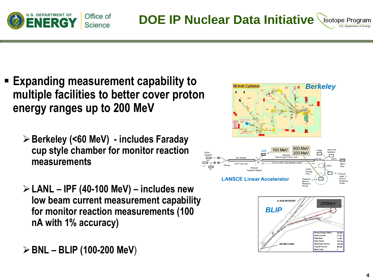

- **Expanding measurement capability to multiple facilities to better cover proton energy ranges up to 200 MeV**
	- ➢**Berkeley (<60 MeV) - includes Faraday cup style chamber for monitor reaction measurements**
	- ➢**LANL – IPF (40-100 MeV) – includes new low beam current measurement capability for monitor reaction measurements (100 nA with 1% accuracy)**

➢**BNL – BLIP (100-200 MeV**)

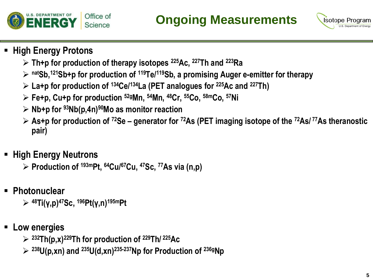



#### ▪ **High Energy Protons**

- ➢ **Th+p for production of therapy isotopes <sup>225</sup>Ac, <sup>227</sup>Th and <sup>223</sup>Ra**
- ➢ **natSb,<sup>121</sup>Sb+p for production of <sup>119</sup>Te/<sup>119</sup>Sb, a promising Auger e-emitter for therapy**
- ➢ **La+p for production of <sup>134</sup>Ce/<sup>134</sup>La (PET analogues for <sup>225</sup>Ac and <sup>227</sup>Th)**
- ➢ **Fe+p, Cu+p for production 52gMn, <sup>54</sup>Mn, <sup>48</sup>Cr, <sup>55</sup>Co, 58mCo, <sup>57</sup>Ni**
- ➢ **Nb+p for <sup>93</sup>Nb(p,4n)<sup>90</sup>Mo as monitor reaction**
- ➢ **As+p for production of <sup>72</sup>Se – generator for <sup>72</sup>As (PET imaging isotope of the <sup>72</sup>As/ <sup>77</sup>As theranostic pair)**

### ▪ **High Energy Neutrons**

➢ **Production of 193mPt, <sup>64</sup>Cu/<sup>67</sup>Cu, <sup>47</sup>Sc, <sup>77</sup>As via (n,p)**

▪ **Photonuclear**

➢ **<sup>48</sup>Ti(γ,p)<sup>47</sup>Sc, <sup>196</sup>Pt(γ,n)195mPt**

- **Low energies**
	- ➢ **<sup>232</sup>Th(p,x) <sup>229</sup>Th for production of <sup>229</sup>Th/ <sup>225</sup>Ac**
	- ➢ **<sup>238</sup>U(p,xn) and <sup>235</sup>U(d,xn) 235-237Np for Production of 236gNp**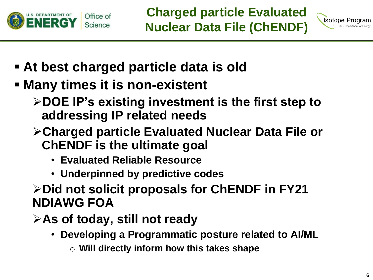

**Charged particle Evaluated Nuclear Data File (ChENDF)**



- **At best charged particle data is old**
- **Many times it is non-existent** 
	- ➢**DOE IP's existing investment is the first step to addressing IP related needs**
	- ➢**Charged particle Evaluated Nuclear Data File or ChENDF is the ultimate goal**
		- **Evaluated Reliable Resource**
		- **Underpinned by predictive codes**
	- ➢**Did not solicit proposals for ChENDF in FY21 NDIAWG FOA**
	- ➢**As of today, still not ready**
		- **Developing a Programmatic posture related to AI/ML**
			- o **Will directly inform how this takes shape**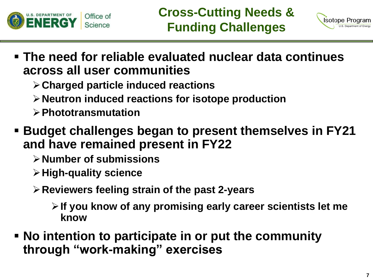

**Cross-Cutting Needs & Funding Challenges**



- **The need for reliable evaluated nuclear data continues across all user communities**
	- ➢**Charged particle induced reactions**
	- ➢**Neutron induced reactions for isotope production**
	- ➢**Phototransmutation**
- **Budget challenges began to present themselves in FY21 and have remained present in FY22**
	- ➢**Number of submissions**
	- ➢**High-quality science**
	- ➢**Reviewers feeling strain of the past 2-years**
		- ➢**If you know of any promising early career scientists let me know**
- **No intention to participate in or put the community through "work-making" exercises**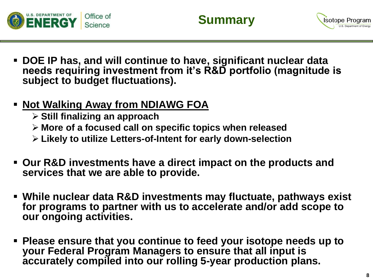

▪ **DOE IP has, and will continue to have, significant nuclear data needs requiring investment from it's R&D portfolio (magnitude is subject to budget fluctuations).**

### ▪ **Not Walking Away from NDIAWG FOA**

- ➢ **Still finalizing an approach**
- ➢ **More of a focused call on specific topics when released**
- ➢ **Likely to utilize Letters-of-Intent for early down-selection**
- **Our R&D investments have a direct impact on the products and services that we are able to provide.**
- While nuclear data R&D investments may fluctuate, pathways exist **for programs to partner with us to accelerate and/or add scope to our ongoing activities.**
- Please ensure that you continue to feed your isotope needs up to **your Federal Program Managers to ensure that all input is accurately compiled into our rolling 5-year production plans.**

Isotope Program